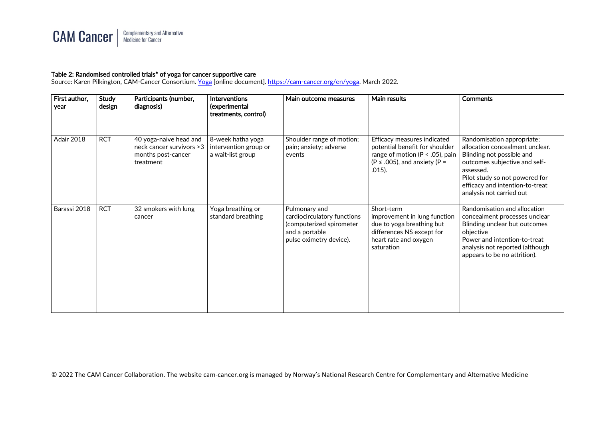

## Table 2: Randomised controlled trials\* of yoga for cancer supportive care

Source: Karen Pilkington, CAM-Cancer Consortium. [Yoga](https://cam-cancer.org/en/yoga) [online document][. https://cam-cancer.org/en/yoga.](https://cam-cancer.org/en/yoga) March 2022.

| First author,<br>year | <b>Study</b><br>design | Participants (number,<br>diagnosis)                                                   | <b>Interventions</b><br>(experimental<br>treatments, control)   | Main outcome measures                                                                                                 | Main results                                                                                                                                           | <b>Comments</b>                                                                                                                                                                                                                           |
|-----------------------|------------------------|---------------------------------------------------------------------------------------|-----------------------------------------------------------------|-----------------------------------------------------------------------------------------------------------------------|--------------------------------------------------------------------------------------------------------------------------------------------------------|-------------------------------------------------------------------------------------------------------------------------------------------------------------------------------------------------------------------------------------------|
| Adair 2018            | <b>RCT</b>             | 40 yoga-naive head and<br>neck cancer survivors >3<br>months post-cancer<br>treatment | 8-week hatha yoga<br>intervention group or<br>a wait-list group | Shoulder range of motion;<br>pain; anxiety; adverse<br>events                                                         | Efficacy measures indicated<br>potential benefit for shoulder<br>range of motion ( $P < .05$ ), pain<br>$(P \le .005)$ , and anxiety (P =<br>$.015$ ). | Randomisation appropriate;<br>allocation concealment unclear.<br>Blinding not possible and<br>outcomes subjective and self-<br>assessed.<br>Pilot study so not powered for<br>efficacy and intention-to-treat<br>analysis not carried out |
| Barassi 2018          | <b>RCT</b>             | 32 smokers with lung<br>cancer                                                        | Yoga breathing or<br>standard breathing                         | Pulmonary and<br>cardiocirculatory functions<br>(computerized spirometer<br>and a portable<br>pulse oximetry device). | Short-term<br>improvement in lung function<br>due to yoga breathing but<br>differences NS except for<br>heart rate and oxygen<br>saturation            | Randomisation and allocation<br>concealment processes unclear<br>Blinding unclear but outcomes<br>objective<br>Power and intention-to-treat<br>analysis not reported (although<br>appears to be no attrition).                            |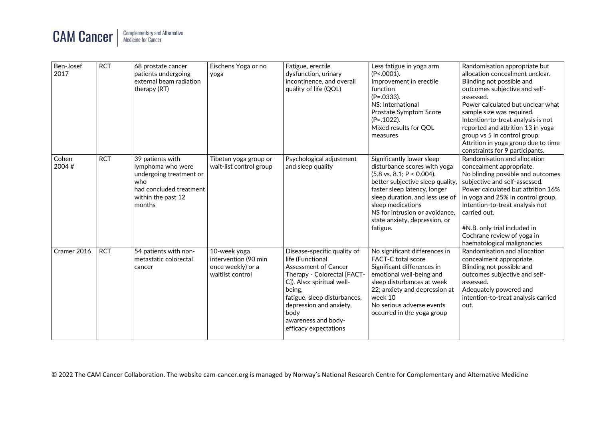

| Ben-Josef<br>2017 | <b>RCT</b> | 68 prostate cancer<br>patients undergoing<br>external beam radiation<br>therapy (RT)                                               | Eischens Yoga or no<br>yoga                                                   | Fatigue, erectile<br>dysfunction, urinary<br>incontinence, and overall<br>quality of life (QOL)                                                                                                                                                                   | Less fatigue in yoga arm<br>$(P<.0001)$ .<br>Improvement in erectile<br>function<br>$(P=.0333).$<br>NS: International<br>Prostate Symptom Score<br>$(P=.1022).$<br>Mixed results for QOL<br>measures                                                                                                         | Randomisation appropriate but<br>allocation concealment unclear.<br>Blinding not possible and<br>outcomes subjective and self-<br>assessed.<br>Power calculated but unclear what<br>sample size was required.<br>Intention-to-treat analysis is not<br>reported and attrition 13 in yoga<br>group vs 5 in control group.<br>Attrition in yoga group due to time<br>constraints for 9 participants. |
|-------------------|------------|------------------------------------------------------------------------------------------------------------------------------------|-------------------------------------------------------------------------------|-------------------------------------------------------------------------------------------------------------------------------------------------------------------------------------------------------------------------------------------------------------------|--------------------------------------------------------------------------------------------------------------------------------------------------------------------------------------------------------------------------------------------------------------------------------------------------------------|----------------------------------------------------------------------------------------------------------------------------------------------------------------------------------------------------------------------------------------------------------------------------------------------------------------------------------------------------------------------------------------------------|
| Cohen<br>2004 #   | <b>RCT</b> | 39 patients with<br>lymphoma who were<br>undergoing treatment or<br>who<br>had concluded treatment<br>within the past 12<br>months | Tibetan yoga group or<br>wait-list control group                              | Psychological adjustment<br>and sleep quality                                                                                                                                                                                                                     | Significantly lower sleep<br>disturbance scores with yoga<br>$(5.8 \text{ vs. } 8.1; P < 0.004).$<br>better subjective sleep quality,<br>faster sleep latency, longer<br>sleep duration, and less use of<br>sleep medications<br>NS for intrusion or avoidance,<br>state anxiety, depression, or<br>fatigue. | Randomisation and allocation<br>concealment appropriate.<br>No blinding possible and outcomes<br>subjective and self-assessed.<br>Power calculated but attrition 16%<br>in yoga and 25% in control group.<br>Intention-to-treat analysis not<br>carried out.<br>#N.B. only trial included in<br>Cochrane review of yoga in<br>haematological malignancies                                          |
| Cramer 2016       | <b>RCT</b> | 54 patients with non-<br>metastatic colorectal<br>cancer                                                                           | 10-week yoga<br>intervention (90 min<br>once weekly) or a<br>waitlist control | Disease-specific quality of<br>life (Functional<br>Assessment of Cancer<br>Therapy - Colorectal [FACT-<br>C]). Also: spiritual well-<br>being,<br>fatigue, sleep disturbances,<br>depression and anxiety,<br>body<br>awareness and body-<br>efficacy expectations | No significant differences in<br>FACT-C total score<br>Significant differences in<br>emotional well-being and<br>sleep disturbances at week<br>22; anxiety and depression at<br>week 10<br>No serious adverse events<br>occurred in the yoga group                                                           | Randomisation and allocation<br>concealment appropriate.<br>Blinding not possible and<br>outcomes subjective and self-<br>assessed.<br>Adequately powered and<br>intention-to-treat analysis carried<br>out.                                                                                                                                                                                       |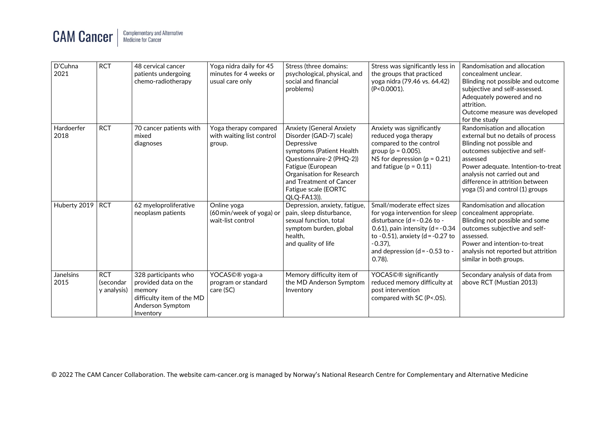## **CAM Cancer** Complementary and Alternative<br>Medicine for Cancer

| $\overline{D}^{\prime}$ Cuhna<br>2021 | <b>RCT</b>                             | 48 cervical cancer<br>patients undergoing<br>chemo-radiotherapy                                                      | Yoga nidra daily for 45<br>minutes for 4 weeks or<br>usual care only | Stress (three domains:<br>psychological, physical, and<br>social and financial<br>problems)                                                                                                                                                   | Stress was significantly less in<br>the groups that practiced<br>yoga nidra (79.46 vs. 64.42)<br>(P<0.0001).                                                                                                                                | Randomisation and allocation<br>concealment unclear.<br>Blinding not possible and outcome<br>subjective and self-assessed.<br>Adequately powered and no<br>attrition.<br>Outcome measure was developed<br>for the study                                                                  |
|---------------------------------------|----------------------------------------|----------------------------------------------------------------------------------------------------------------------|----------------------------------------------------------------------|-----------------------------------------------------------------------------------------------------------------------------------------------------------------------------------------------------------------------------------------------|---------------------------------------------------------------------------------------------------------------------------------------------------------------------------------------------------------------------------------------------|------------------------------------------------------------------------------------------------------------------------------------------------------------------------------------------------------------------------------------------------------------------------------------------|
| Hardoerfer<br>2018                    | <b>RCT</b>                             | 70 cancer patients with<br>mixed<br>diagnoses                                                                        | Yoga therapy compared<br>with waiting list control<br>group.         | Anxiety (General Anxiety<br>Disorder (GAD-7) scale)<br>Depressive<br>symptoms (Patient Health<br>Questionnaire-2 (PHQ-2))<br>Fatigue (European<br>Organisation for Research<br>and Treatment of Cancer<br>Fatigue scale (EORTC<br>QLQ-FA13)). | Anxiety was significantly<br>reduced yoga therapy<br>compared to the control<br>group ( $p = 0.005$ ).<br>NS for depression ( $p = 0.21$ )<br>and fatigue ( $p = 0.11$ )                                                                    | Randomisation and allocation<br>external but no details of process<br>Blinding not possible and<br>outcomes subjective and self-<br>assessed<br>Power adequate. Intention-to-treat<br>analysis not carried out and<br>difference in attrition between<br>yoga (5) and control (1) groups |
| Huberty 2019                          | <b>RCT</b>                             | 62 myeloproliferative<br>neoplasm patients                                                                           | Online yoga<br>(60 min/week of yoga) or<br>wait-list control         | Depression, anxiety, fatigue,<br>pain, sleep disturbance,<br>sexual function, total<br>symptom burden, global<br>health.<br>and quality of life                                                                                               | Small/moderate effect sizes<br>for yoga intervention for sleep<br>disturbance (d = - 0.26 to -<br>0.61), pain intensity $(d = -0.34)$<br>to -0.51), anxiety ( $d = -0.27$ to<br>$-0.37$ ),<br>and depression $(d = -0.53$ to -<br>$0.78$ ). | Randomisation and allocation<br>concealment appropriate.<br>Blinding not possible and some<br>outcomes subjective and self-<br>assessed.<br>Power and intention-to-treat<br>analysis not reported but attrition<br>similar in both groups.                                               |
| Janelsins<br>2015                     | <b>RCT</b><br>(secondar<br>y analysis) | 328 participants who<br>provided data on the<br>memory<br>difficulty item of the MD<br>Anderson Symptom<br>Inventory | YOCAS©® yoga-a<br>program or standard<br>care (SC)                   | Memory difficulty item of<br>the MD Anderson Symptom<br>Inventory                                                                                                                                                                             | YOCAS©® significantly<br>reduced memory difficulty at<br>post intervention<br>compared with SC (P<.05).                                                                                                                                     | Secondary analysis of data from<br>above RCT (Mustian 2013)                                                                                                                                                                                                                              |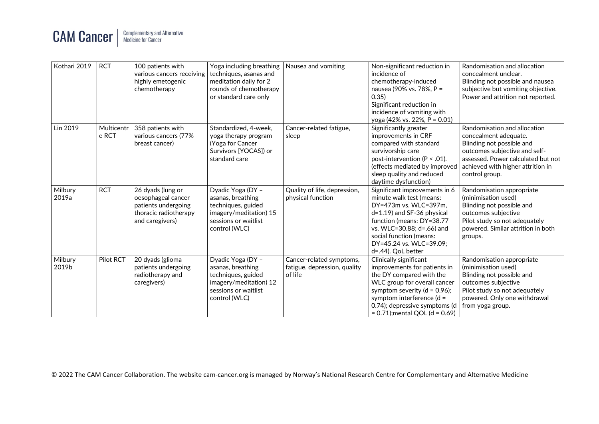

| Kothari 2019     | <b>RCT</b>          | 100 patients with<br>various cancers receiving<br>highly emetogenic<br>chemotherapy                        | Yoga including breathing<br>techniques, asanas and<br>meditation daily for 2<br>rounds of chemotherapy<br>or standard care only | Nausea and vomiting                                                 | Non-significant reduction in<br>incidence of<br>chemotherapy-induced<br>nausea (90% vs. 78%, P =<br>0.35)<br>Significant reduction in<br>incidence of vomiting with<br>yoga (42% vs. 22%, $P = 0.01$ )                                                      | Randomisation and allocation<br>concealment unclear.<br>Blinding not possible and nausea<br>subjective but vomiting objective.<br>Power and attrition not reported.                                              |
|------------------|---------------------|------------------------------------------------------------------------------------------------------------|---------------------------------------------------------------------------------------------------------------------------------|---------------------------------------------------------------------|-------------------------------------------------------------------------------------------------------------------------------------------------------------------------------------------------------------------------------------------------------------|------------------------------------------------------------------------------------------------------------------------------------------------------------------------------------------------------------------|
| Lin 2019         | Multicentr<br>e RCT | 358 patients with<br>various cancers (77%<br>breast cancer)                                                | Standardized, 4-week,<br>yoga therapy program<br>(Yoga for Cancer<br>Survivors [YOCAS]) or<br>standard care                     | Cancer-related fatigue,<br>sleep                                    | Significantly greater<br>improvements in CRF<br>compared with standard<br>survivorship care<br>post-intervention (P < .01).<br>(effects mediated by improved<br>sleep quality and reduced<br>daytime dysfunction)                                           | Randomisation and allocation<br>concealment adequate.<br>Blinding not possible and<br>outcomes subjective and self-<br>assessed. Power calculated but not<br>achieved with higher attrition in<br>control group. |
| Milbury<br>2019a | <b>RCT</b>          | 26 dyads (lung or<br>oesophageal cancer<br>patients undergoing<br>thoracic radiotherapy<br>and caregivers) | Dyadic Yoga (DY -<br>asanas, breathing<br>techniques, guided<br>imagery/meditation) 15<br>sessions or waitlist<br>control (WLC) | Quality of life, depression,<br>physical function                   | Significant improvements in 6<br>minute walk test (means:<br>DY=473m vs. WLC=397m,<br>d=1.19) and SF-36 physical<br>function (means: DY=38.77<br>vs. WLC=30.88; d=.66) and<br>social function (means:<br>DY=45.24 vs. WLC=39.09;<br>d=.44). QoL better      | Randomisation appropriate<br>(minimisation used)<br>Blinding not possible and<br>outcomes subjective<br>Pilot study so not adequately<br>powered. Similar attrition in both<br>groups.                           |
| Milbury<br>2019b | Pilot RCT           | 20 dyads (glioma<br>patients undergoing<br>radiotherapy and<br>caregivers)                                 | Dyadic Yoga (DY -<br>asanas, breathing<br>techniques, guided<br>imagery/meditation) 12<br>sessions or waitlist<br>control (WLC) | Cancer-related symptoms,<br>fatigue, depression, quality<br>of life | Clinically significant<br>improvements for patients in<br>the DY compared with the<br>WLC group for overall cancer<br>symptom severity ( $d = 0.96$ );<br>symptom interference $(d =$<br>0.74); depressive symptoms (d<br>$= 0.71$ ); mental QOL (d = 0.69) | Randomisation appropriate<br>(minimisation used)<br>Blinding not possible and<br>outcomes subjective<br>Pilot study so not adequately<br>powered. Only one withdrawal<br>from yoga group.                        |